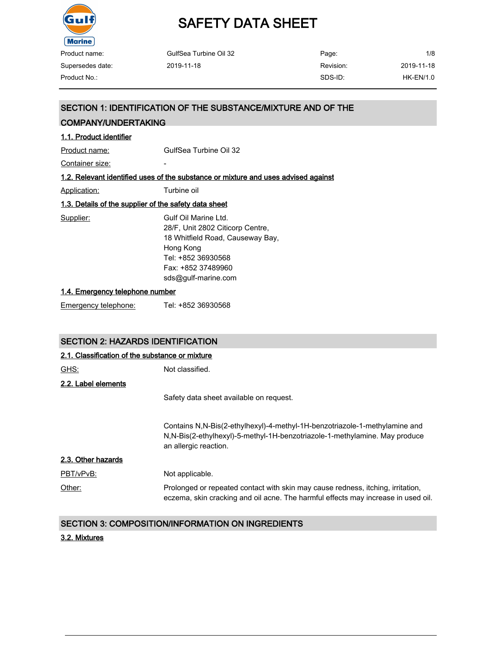

| GulfSea Turbine Oil 32 | Page:     | 1/8         |
|------------------------|-----------|-------------|
| 2019-11-18             | Revision: | 2019-11-18  |
|                        | SDS-ID:   | $HK-EN/1.0$ |
|                        |           |             |

### SECTION 1: IDENTIFICATION OF THE SUBSTANCE/MIXTURE AND OF THE

### COMPANY/UNDERTAKING

| 1.1. Product identifier                               |                                                                                                                                                                               |
|-------------------------------------------------------|-------------------------------------------------------------------------------------------------------------------------------------------------------------------------------|
| Product name:                                         | GulfSea Turbine Oil 32                                                                                                                                                        |
| Container size:                                       |                                                                                                                                                                               |
|                                                       | 1.2. Relevant identified uses of the substance or mixture and uses advised against                                                                                            |
| <u>Application:</u>                                   | Turbine oil                                                                                                                                                                   |
| 1.3. Details of the supplier of the safety data sheet |                                                                                                                                                                               |
| Supplier:                                             | Gulf Oil Marine I td.<br>28/F, Unit 2802 Citicorp Centre,<br>18 Whitfield Road, Causeway Bay,<br>Hong Kong<br>Tel: +852 36930568<br>Fax: +852 37489960<br>sds@gulf-marine.com |
| 1.4. Emergency telephone number                       |                                                                                                                                                                               |
| Emergency telephone:                                  | Tel: +852 36930568                                                                                                                                                            |

### SECTION 2: HAZARDS IDENTIFICATION

| 2.1. Classification of the substance or mixture |                                                                                                                                                                                   |  |  |  |
|-------------------------------------------------|-----------------------------------------------------------------------------------------------------------------------------------------------------------------------------------|--|--|--|
| <u>GHS:</u>                                     | Not classified.                                                                                                                                                                   |  |  |  |
| 2.2. Label elements                             |                                                                                                                                                                                   |  |  |  |
|                                                 | Safety data sheet available on request.                                                                                                                                           |  |  |  |
|                                                 | Contains N,N-Bis(2-ethylhexyl)-4-methyl-1H-benzotriazole-1-methylamine and<br>N,N-Bis(2-ethylhexyl)-5-methyl-1H-benzotriazole-1-methylamine. May produce<br>an allergic reaction. |  |  |  |
| 2.3. Other hazards                              |                                                                                                                                                                                   |  |  |  |
| PBT/vPvB:                                       | Not applicable.                                                                                                                                                                   |  |  |  |
| Other:                                          | Prolonged or repeated contact with skin may cause redness, itching, irritation,<br>eczema, skin cracking and oil acne. The harmful effects may increase in used oil.              |  |  |  |

### SECTION 3: COMPOSITION/INFORMATION ON INGREDIENTS

#### 3.2. Mixtures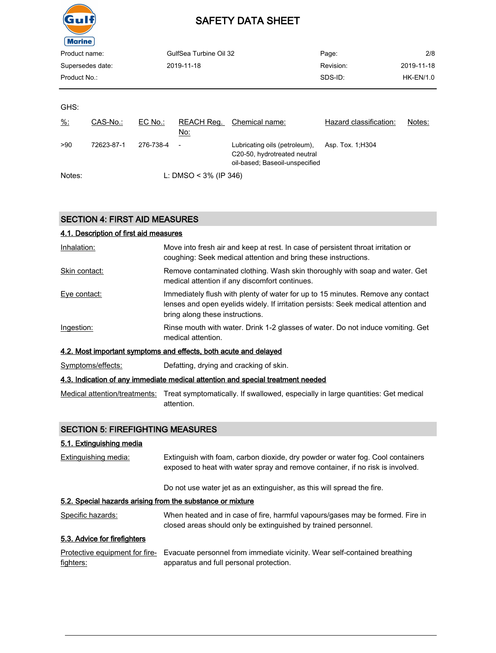

| Product name:<br>GulfSea Turbine Oil 32<br>2019-11-18<br>Supersedes date:<br>Product No.: |            |           |                          |                                                                                                 | Page:                  | 2/8<br>2019-11-18 |
|-------------------------------------------------------------------------------------------|------------|-----------|--------------------------|-------------------------------------------------------------------------------------------------|------------------------|-------------------|
|                                                                                           |            |           |                          |                                                                                                 | Revision:              |                   |
|                                                                                           |            |           | SDS-ID:                  | <b>HK-EN/1.0</b>                                                                                |                        |                   |
|                                                                                           |            |           |                          |                                                                                                 |                        |                   |
| GHS:                                                                                      |            |           |                          |                                                                                                 |                        |                   |
| $\frac{9}{6}$ :                                                                           | CAS-No.:   | EC No.:   | REACH Req.<br><u>No:</u> | Chemical name:                                                                                  | Hazard classification: | Notes:            |
| >90                                                                                       | 72623-87-1 | 276-738-4 | $\overline{\phantom{a}}$ | Lubricating oils (petroleum),<br>C20-50, hydrotreated neutral<br>oil-based; Baseoil-unspecified | Asp. Tox. 1; H304      |                   |
| Notes:                                                                                    |            |           | L: DMSO < $3\%$ (IP 346) |                                                                                                 |                        |                   |

### SECTION 4: FIRST AID MEASURES

| 4.1. Description of first aid measures |                                                                                                                                                                                                          |
|----------------------------------------|----------------------------------------------------------------------------------------------------------------------------------------------------------------------------------------------------------|
| Inhalation:                            | Move into fresh air and keep at rest. In case of persistent throat irritation or<br>coughing: Seek medical attention and bring these instructions.                                                       |
| Skin contact:                          | Remove contaminated clothing. Wash skin thoroughly with soap and water. Get<br>medical attention if any discomfort continues.                                                                            |
| Eye contact:                           | Immediately flush with plenty of water for up to 15 minutes. Remove any contact<br>lenses and open eyelids widely. If irritation persists: Seek medical attention and<br>bring along these instructions. |
| Ingestion:                             | Rinse mouth with water. Drink 1-2 glasses of water. Do not induce vomiting. Get<br>medical attention.                                                                                                    |
|                                        | 4.2. Most important symptoms and effects, both acute and delayed                                                                                                                                         |
| Symptoms/effects:                      | Defatting, drying and cracking of skin.                                                                                                                                                                  |
|                                        | 4.3. Indication of any immediate medical attention and special treatment needed                                                                                                                          |
|                                        | Medical attention/treatments: Treat symptomatically. If swallowed, especially in large quantities: Get medical<br>attention.                                                                             |

### SECTION 5: FIREFIGHTING MEASURES

### 5.1. Extinguishing media

| Extinguishing media:                                       | Extinguish with foam, carbon dioxide, dry powder or water fog. Cool containers<br>exposed to heat with water spray and remove container, if no risk is involved. |  |  |  |
|------------------------------------------------------------|------------------------------------------------------------------------------------------------------------------------------------------------------------------|--|--|--|
|                                                            | Do not use water jet as an extinguisher, as this will spread the fire.                                                                                           |  |  |  |
| 5.2. Special hazards arising from the substance or mixture |                                                                                                                                                                  |  |  |  |
| Specific hazards:                                          | When heated and in case of fire, harmful vapours/gases may be formed. Fire in<br>closed areas should only be extinguished by trained personnel.                  |  |  |  |
| 5.3. Advice for firefighters                               |                                                                                                                                                                  |  |  |  |
| Protective equipment for fire-<br>fighters:                | Evacuate personnel from immediate vicinity. Wear self-contained breathing<br>apparatus and full personal protection.                                             |  |  |  |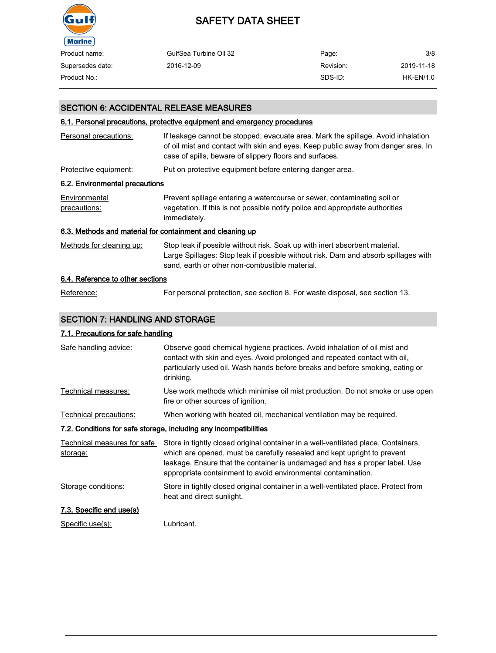

| Product name:    | GulfSea Turbine Oil 32 | Page:     | 3/8        |
|------------------|------------------------|-----------|------------|
| Supersedes date: | 2016-12-09             | Revision: | 2019-11-18 |
| Product No.:     |                        | SDS-ID:   | HK-EN/1.0  |

### SECTION 6: ACCIDENTAL RELEASE MEASURES

#### 6.1. Personal precautions, protective equipment and emergency procedures

| Personal precautions:                                     | If leakage cannot be stopped, evacuate area. Mark the spillage. Avoid inhalation<br>of oil mist and contact with skin and eyes. Keep public away from danger area. In<br>case of spills, beware of slippery floors and surfaces. |
|-----------------------------------------------------------|----------------------------------------------------------------------------------------------------------------------------------------------------------------------------------------------------------------------------------|
| Protective equipment:                                     | Put on protective equipment before entering danger area.                                                                                                                                                                         |
| 6.2. Environmental precautions                            |                                                                                                                                                                                                                                  |
| Environmental<br>precautions:                             | Prevent spillage entering a watercourse or sewer, contaminating soil or<br>vegetation. If this is not possible notify police and appropriate authorities<br>immediately.                                                         |
| 6.3. Methods and material for containment and cleaning up |                                                                                                                                                                                                                                  |
| Methods for cleaning up:                                  | Stop leak if possible without risk. Soak up with inert absorbent material.<br>Large Spillages: Stop leak if possible without risk. Dam and absorb spillages with<br>sand, earth or other non-combustible material.               |
| 6.4. Reference to other sections                          |                                                                                                                                                                                                                                  |
| Reference:                                                | For personal protection, see section 8. For waste disposal, see section 13.                                                                                                                                                      |

### SECTION 7: HANDLING AND STORAGE

### 7.1. Precautions for safe handling

| Safe handling advice:                                             | Observe good chemical hygiene practices. Avoid inhalation of oil mist and<br>contact with skin and eyes. Avoid prolonged and repeated contact with oil,<br>particularly used oil. Wash hands before breaks and before smoking, eating or<br>drinking.                                                          |  |  |  |  |
|-------------------------------------------------------------------|----------------------------------------------------------------------------------------------------------------------------------------------------------------------------------------------------------------------------------------------------------------------------------------------------------------|--|--|--|--|
| Technical measures:                                               | Use work methods which minimise oil mist production. Do not smoke or use open<br>fire or other sources of ignition.                                                                                                                                                                                            |  |  |  |  |
| Technical precautions:                                            | When working with heated oil, mechanical ventilation may be required.                                                                                                                                                                                                                                          |  |  |  |  |
| 7.2. Conditions for safe storage, including any incompatibilities |                                                                                                                                                                                                                                                                                                                |  |  |  |  |
| Technical measures for safe<br>storage:                           | Store in tightly closed original container in a well-ventilated place. Containers,<br>which are opened, must be carefully resealed and kept upright to prevent<br>leakage. Ensure that the container is undamaged and has a proper label. Use<br>appropriate containment to avoid environmental contamination. |  |  |  |  |
| Storage conditions:                                               | Store in tightly closed original container in a well-ventilated place. Protect from<br>heat and direct sunlight.                                                                                                                                                                                               |  |  |  |  |
| 7.3. Specific end use(s)                                          |                                                                                                                                                                                                                                                                                                                |  |  |  |  |
| Specific use(s):                                                  | Lubricant.                                                                                                                                                                                                                                                                                                     |  |  |  |  |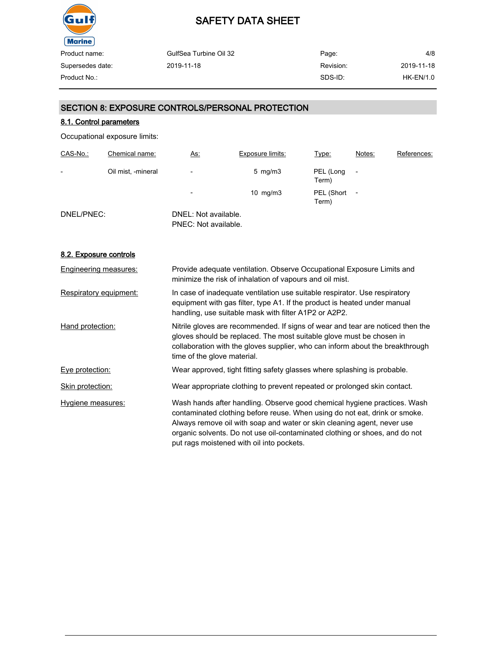

GulfSea Turbine Oil 32 2019-11-18 Page: Revision: SDS-ID: 4/8 2019-11-18 Product No.: HK-EN/1.0

### SECTION 8: EXPOSURE CONTROLS/PERSONAL PROTECTION

### 8.1. Control parameters

Occupational exposure limits:

| CAS-No.:                 | Chemical name:     | <u>As:</u>                                   | <b>Exposure limits:</b> | Type:               | Notes:                   | References: |
|--------------------------|--------------------|----------------------------------------------|-------------------------|---------------------|--------------------------|-------------|
| $\overline{\phantom{0}}$ | Oil mist, -mineral | $\overline{\phantom{a}}$                     | $5 \text{ mg/m}$ 3      | PEL (Long<br>Term)  |                          |             |
|                          |                    | $\overline{\phantom{0}}$                     | 10 $mg/m3$              | PEL (Short<br>Term) | $\overline{\phantom{0}}$ |             |
| DNEL/PNEC:               |                    | DNEL: Not available.<br>PNEC: Not available. |                         |                     |                          |             |

#### 8.2. Exposure controls

| Engineering measures:  | Provide adequate ventilation. Observe Occupational Exposure Limits and<br>minimize the risk of inhalation of vapours and oil mist.                                                                                                                                                                                                                            |
|------------------------|---------------------------------------------------------------------------------------------------------------------------------------------------------------------------------------------------------------------------------------------------------------------------------------------------------------------------------------------------------------|
| Respiratory equipment: | In case of inadequate ventilation use suitable respirator. Use respiratory<br>equipment with gas filter, type A1. If the product is heated under manual<br>handling, use suitable mask with filter A1P2 or A2P2.                                                                                                                                              |
| Hand protection:       | Nitrile gloves are recommended. If signs of wear and tear are noticed then the<br>gloves should be replaced. The most suitable glove must be chosen in<br>collaboration with the gloves supplier, who can inform about the breakthrough<br>time of the glove material.                                                                                        |
| Eye protection:        | Wear approved, tight fitting safety glasses where splashing is probable.                                                                                                                                                                                                                                                                                      |
| Skin protection:       | Wear appropriate clothing to prevent repeated or prolonged skin contact.                                                                                                                                                                                                                                                                                      |
| Hygiene measures:      | Wash hands after handling. Observe good chemical hygiene practices. Wash<br>contaminated clothing before reuse. When using do not eat, drink or smoke.<br>Always remove oil with soap and water or skin cleaning agent, never use<br>organic solvents. Do not use oil-contaminated clothing or shoes, and do not<br>put rags moistened with oil into pockets. |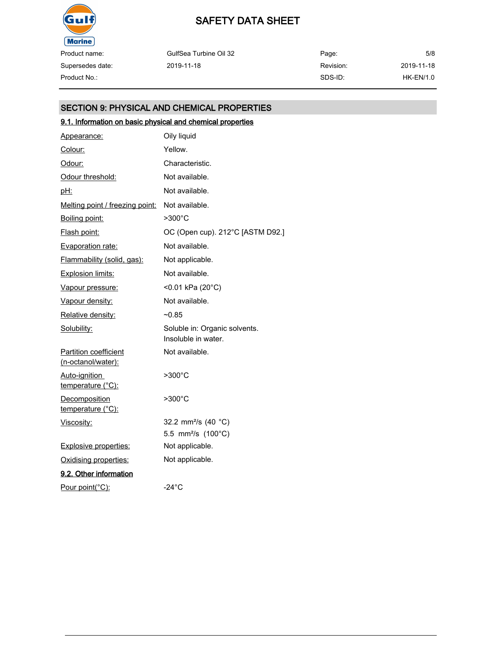

Product name: Supersedes date:

| Product name:    | GulfSea Turbine Oil 32 | Page:     | 5/8        |
|------------------|------------------------|-----------|------------|
| Supersedes date: | 2019-11-18             | Revision: | 2019-11-18 |
| Product No.:     |                        | SDS-ID:   | HK-EN/1.0  |

### SECTION 9: PHYSICAL AND CHEMICAL PROPERTIES

### 9.1. Information on basic physical and chemical properties

| Appearance:                                        | Oily liquid                                          |
|----------------------------------------------------|------------------------------------------------------|
| Colour:                                            | Yellow.                                              |
| Odour:                                             | Characteristic.                                      |
| Odour threshold:                                   | Not available.                                       |
| pH:                                                | Not available.                                       |
| <u>Melting point / freezing point:</u>             | Not available.                                       |
| Boiling point:                                     | >300°C                                               |
| <u>Flash point:</u>                                | OC (Open cup). 212°C [ASTM D92.]                     |
| <b>Evaporation rate:</b>                           | Not available.                                       |
| Flammability (solid, gas):                         | Not applicable.                                      |
| Explosion limits:                                  | Not available.                                       |
| Vapour pressure:                                   | <0.01 kPa (20°C)                                     |
| Vapour density:                                    | Not available.                                       |
| Relative density:                                  | $-0.85$                                              |
| Solubility:                                        | Soluble in: Organic solvents.<br>Insoluble in water. |
| <b>Partition coefficient</b><br>(n-octanol/water): | Not available.                                       |
| Auto-ignition<br>temperature (°C):                 | $>300^{\circ}$ C                                     |
| <b>Decomposition</b><br>temperature (°C):          | >300°C                                               |
| Viscosity:                                         | 32.2 mm <sup>2</sup> /s (40 °C)                      |
|                                                    | 5.5 mm <sup>2</sup> /s (100°C)                       |
| <b>Explosive properties:</b>                       | Not applicable.                                      |
| Oxidising properties:                              | Not applicable.                                      |
| 9.2. Other information                             |                                                      |
| Pour point(°C):                                    | $-24^{\circ}$ C                                      |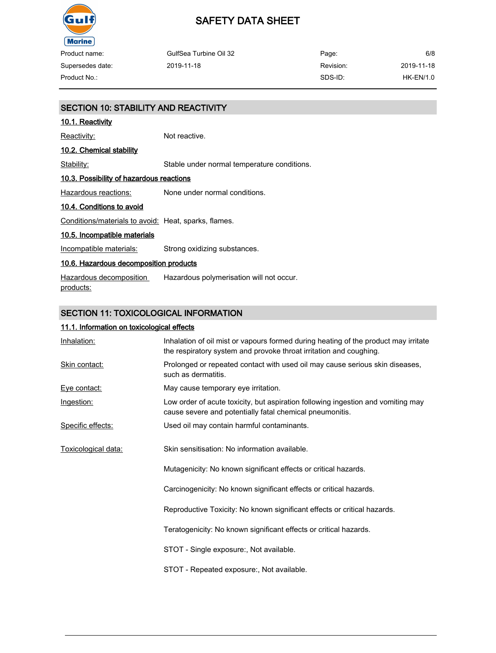

## SAFETY DATA SHEET

| Product name:    | GulfSea Turbine Oil 32 | Page:     | 6/8        |
|------------------|------------------------|-----------|------------|
| Supersedes date: | 2019-11-18             | Revision: | 2019-11-18 |
| Product No.:     |                        | SDS-ID:   | HK-EN/1.0  |

| SECTION 10: STABILITY AND REACTIVITY                 |                                             |  |
|------------------------------------------------------|---------------------------------------------|--|
| <u>10.1. Reactivity</u>                              |                                             |  |
| Reactivity:                                          | Not reactive.                               |  |
| 10.2. Chemical stability                             |                                             |  |
| Stability:                                           | Stable under normal temperature conditions. |  |
| 10.3. Possibility of hazardous reactions             |                                             |  |
| Hazardous reactions:                                 | None under normal conditions.               |  |
| 10.4. Conditions to avoid                            |                                             |  |
| Conditions/materials to avoid: Heat, sparks, flames. |                                             |  |
| 10.5. Incompatible materials                         |                                             |  |
| Incompatible materials:                              | Strong oxidizing substances.                |  |
| 10.6. Hazardous decomposition products               |                                             |  |
| Hazardous decomposition<br><u>products:</u>          | Hazardous polymerisation will not occur.    |  |
|                                                      |                                             |  |

### SECTION 11: TOXICOLOGICAL INFORMATION

### 11.1. Information on toxicological effects

| Inhalation:         | Inhalation of oil mist or vapours formed during heating of the product may irritate<br>the respiratory system and provoke throat irritation and coughing. |
|---------------------|-----------------------------------------------------------------------------------------------------------------------------------------------------------|
| Skin contact:       | Prolonged or repeated contact with used oil may cause serious skin diseases,<br>such as dermatitis.                                                       |
| Eye contact:        | May cause temporary eye irritation.                                                                                                                       |
| Ingestion:          | Low order of acute toxicity, but aspiration following ingestion and vomiting may<br>cause severe and potentially fatal chemical pneumonitis.              |
| Specific effects:   | Used oil may contain harmful contaminants.                                                                                                                |
| Toxicological data: | Skin sensitisation: No information available.                                                                                                             |
|                     | Mutagenicity: No known significant effects or critical hazards.                                                                                           |
|                     | Carcinogenicity: No known significant effects or critical hazards.                                                                                        |
|                     | Reproductive Toxicity: No known significant effects or critical hazards.                                                                                  |
|                     | Teratogenicity: No known significant effects or critical hazards.                                                                                         |
|                     | STOT - Single exposure:, Not available.                                                                                                                   |
|                     | STOT - Repeated exposure:, Not available.                                                                                                                 |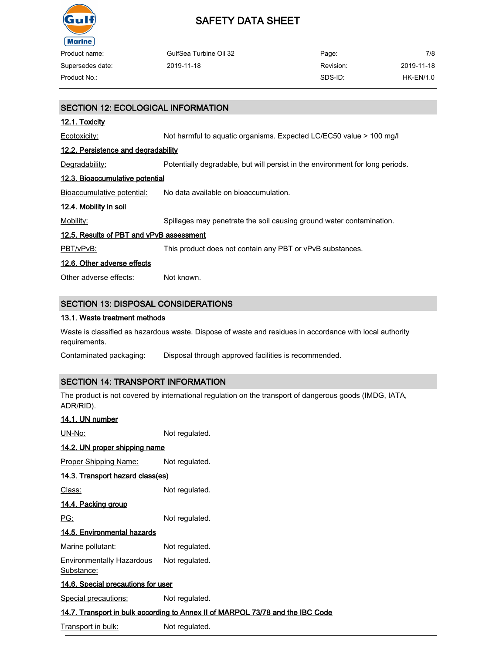

| Product name:    | GulfSea Turbine Oil 32 | Page:     | 7/8        |
|------------------|------------------------|-----------|------------|
| Supersedes date: | 2019-11-18             | Revision: | 2019-11-18 |
| Product No.:     |                        | SDS-ID:   | HK-EN/1.0  |

### SECTION 12: ECOLOGICAL INFORMATION

#### 12.1. Toxicity

Ecotoxicity: Not harmful to aquatic organisms. Expected LC/EC50 value > 100 mg/l

#### 12.2. Persistence and degradability

Degradability: Potentially degradable, but will persist in the environment for long periods.

### 12.3. Bioaccumulative potential

Bioaccumulative potential: No data available on bioaccumulation.

#### 12.4. Mobility in soil

Mobility: Spillages may penetrate the soil causing ground water contamination.

### 12.5. Results of PBT and vPvB assessment

PBT/vPvB: This product does not contain any PBT or vPvB substances.

#### 12.6. Other adverse effects

Other adverse effects: Not known.

### SECTION 13: DISPOSAL CONSIDERATIONS

#### 13.1. Waste treatment methods

Waste is classified as hazardous waste. Dispose of waste and residues in accordance with local authority requirements.

Contaminated packaging: Disposal through approved facilities is recommended.

### SECTION 14: TRANSPORT INFORMATION

The product is not covered by international regulation on the transport of dangerous goods (IMDG, IATA, ADR/RID).

## 14.1. UN number UN-No: Not regulated. 14.2. UN proper shipping name Proper Shipping Name: Not regulated. 14.3. Transport hazard class(es) Class: Not regulated. 14.4. Packing group PG: Not regulated. 14.5. Environmental hazards Marine pollutant: Not regulated. Environmentally Hazardous Substance: Not regulated. 14.6. Special precautions for user Special precautions: Not regulated. 14.7. Transport in bulk according to Annex II of MARPOL 73/78 and the IBC Code Transport in bulk: Not regulated.